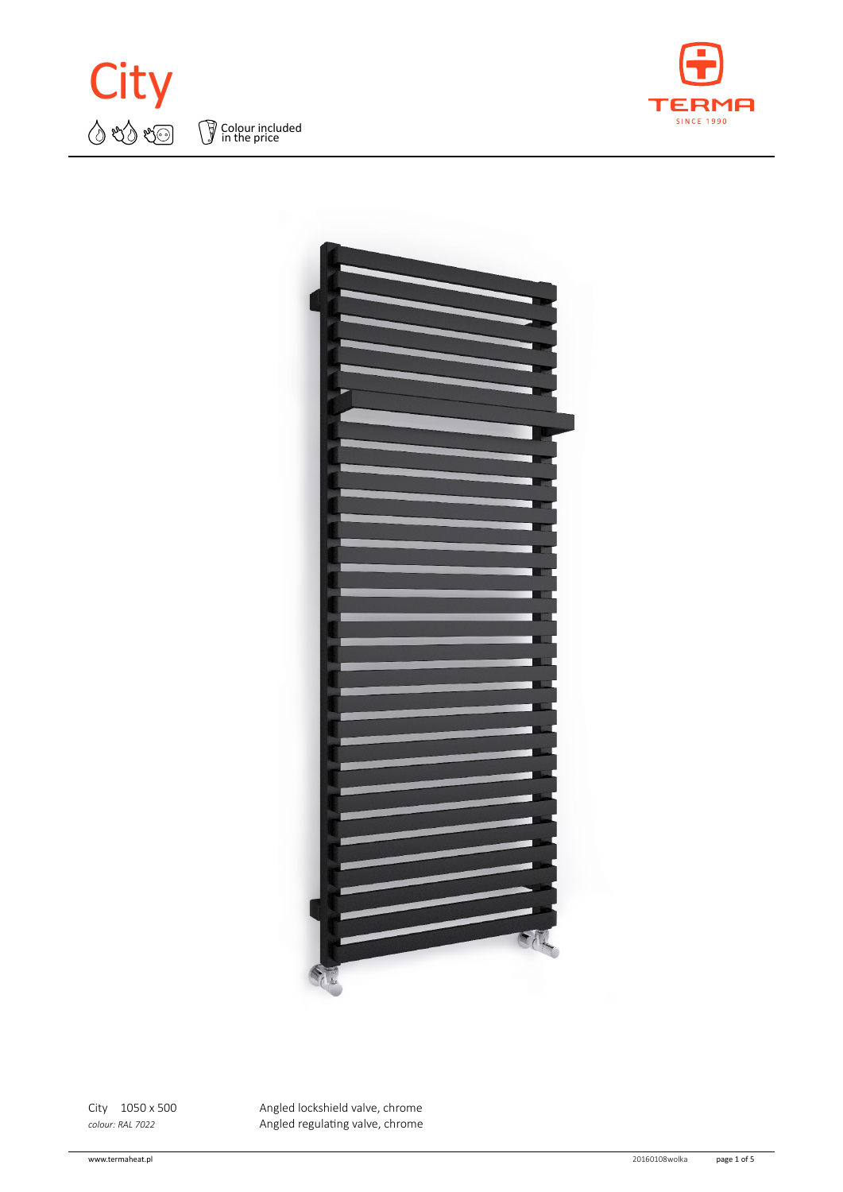







City 1050 x 500 Angled lockshield valve, chrome *colour: RAL 7022* Angled regulating valve, chrome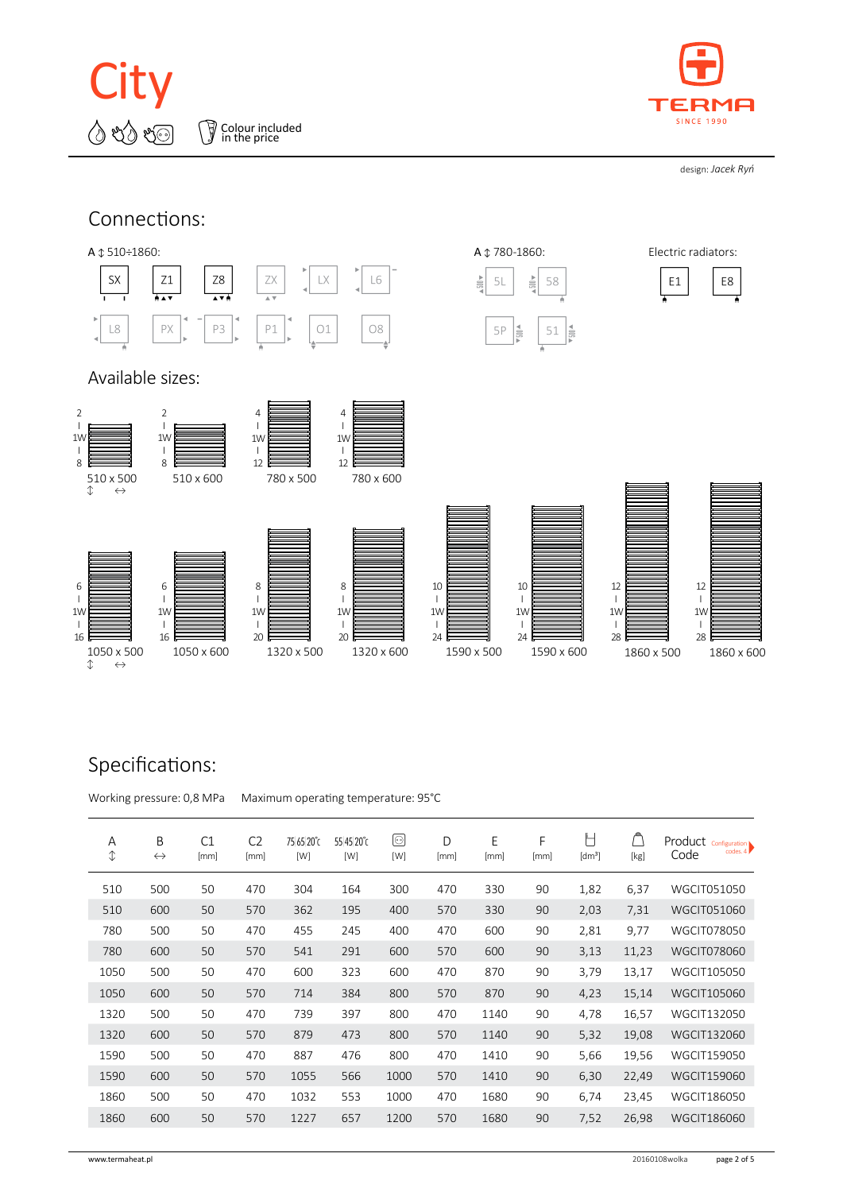

Colour included in the price



design: *Jacek Ryń*



## Specifications:

Working pressure: 0,8 MPa Maximum operating temperature: 95°C

| Α<br>$\mathbb{O}$ | B<br>$\leftrightarrow$ | C1<br>[mm] | C <sub>2</sub><br>[mm] | 75 65 20°C<br>[W] | 55 45 20°C<br>[W] | ◉<br>[W] | D<br>[mm] | E<br>[mm] | F<br>[mm] | ┡<br>[dm <sup>3</sup> ] | [kg]  | $\left.\text{Product}\ \text{Configuration}\atop \text{codes. 4}\right)$<br>Code |
|-------------------|------------------------|------------|------------------------|-------------------|-------------------|----------|-----------|-----------|-----------|-------------------------|-------|----------------------------------------------------------------------------------|
| 510               | 500                    | 50         | 470                    | 304               | 164               | 300      | 470       | 330       | 90        | 1,82                    | 6,37  | <b>WGCIT051050</b>                                                               |
| 510               | 600                    | 50         | 570                    | 362               | 195               | 400      | 570       | 330       | 90        | 2,03                    | 7,31  | WGCIT051060                                                                      |
| 780               | 500                    | 50         | 470                    | 455               | 245               | 400      | 470       | 600       | 90        | 2,81                    | 9,77  | <b>WGCIT078050</b>                                                               |
| 780               | 600                    | 50         | 570                    | 541               | 291               | 600      | 570       | 600       | 90        | 3,13                    | 11,23 | <b>WGCIT078060</b>                                                               |
| 1050              | 500                    | 50         | 470                    | 600               | 323               | 600      | 470       | 870       | 90        | 3,79                    | 13,17 | WGCIT105050                                                                      |
| 1050              | 600                    | 50         | 570                    | 714               | 384               | 800      | 570       | 870       | 90        | 4,23                    | 15,14 | WGCIT105060                                                                      |
| 1320              | 500                    | 50         | 470                    | 739               | 397               | 800      | 470       | 1140      | 90        | 4,78                    | 16,57 | WGCIT132050                                                                      |
| 1320              | 600                    | 50         | 570                    | 879               | 473               | 800      | 570       | 1140      | 90        | 5,32                    | 19,08 | WGCIT132060                                                                      |
| 1590              | 500                    | 50         | 470                    | 887               | 476               | 800      | 470       | 1410      | 90        | 5,66                    | 19,56 | <b>WGCIT159050</b>                                                               |
| 1590              | 600                    | 50         | 570                    | 1055              | 566               | 1000     | 570       | 1410      | 90        | 6,30                    | 22,49 | <b>WGCIT159060</b>                                                               |
| 1860              | 500                    | 50         | 470                    | 1032              | 553               | 1000     | 470       | 1680      | 90        | 6,74                    | 23,45 | WGCIT186050                                                                      |
| 1860              | 600                    | 50         | 570                    | 1227              | 657               | 1200     | 570       | 1680      | 90        | 7,52                    | 26,98 | <b>WGCIT186060</b>                                                               |
|                   |                        |            |                        |                   |                   |          |           |           |           |                         |       |                                                                                  |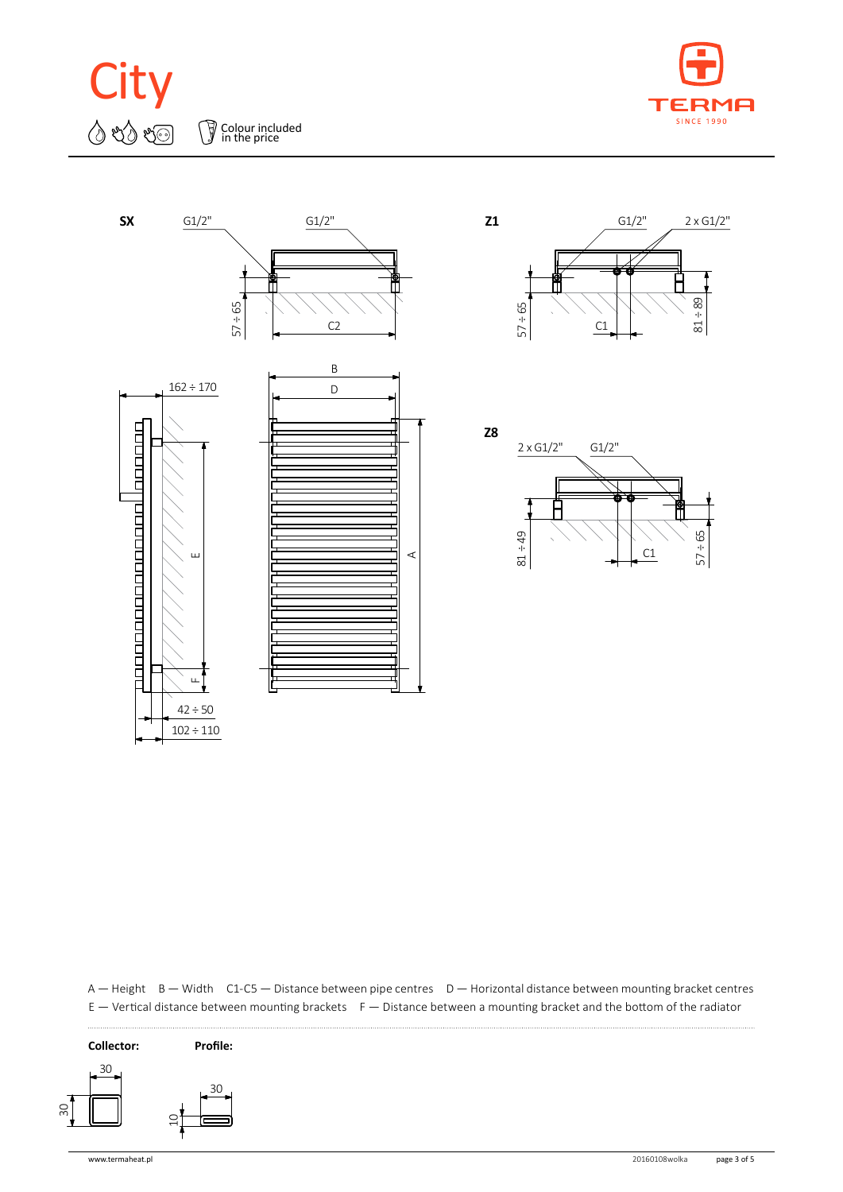**City**  $\Diamond$  to to Colour included in the price





G1/2" 2 x G1/2" ۲ 81 ÷ 89 57 ÷ 65  $C1$  $\leftarrow$   $\leftarrow$   $\leftarrow$   $\leftarrow$   $\leftarrow$   $\leftarrow$ 



E — Vertical distance between mounting brackets F — Distance between a mounting bracket and the bottom of the radiator A — Height B — Width C1-C5 — Distance between pipe centres D — Horizontal distance between mounting bracket centres



. . . . . . . . . . . . . . . . . .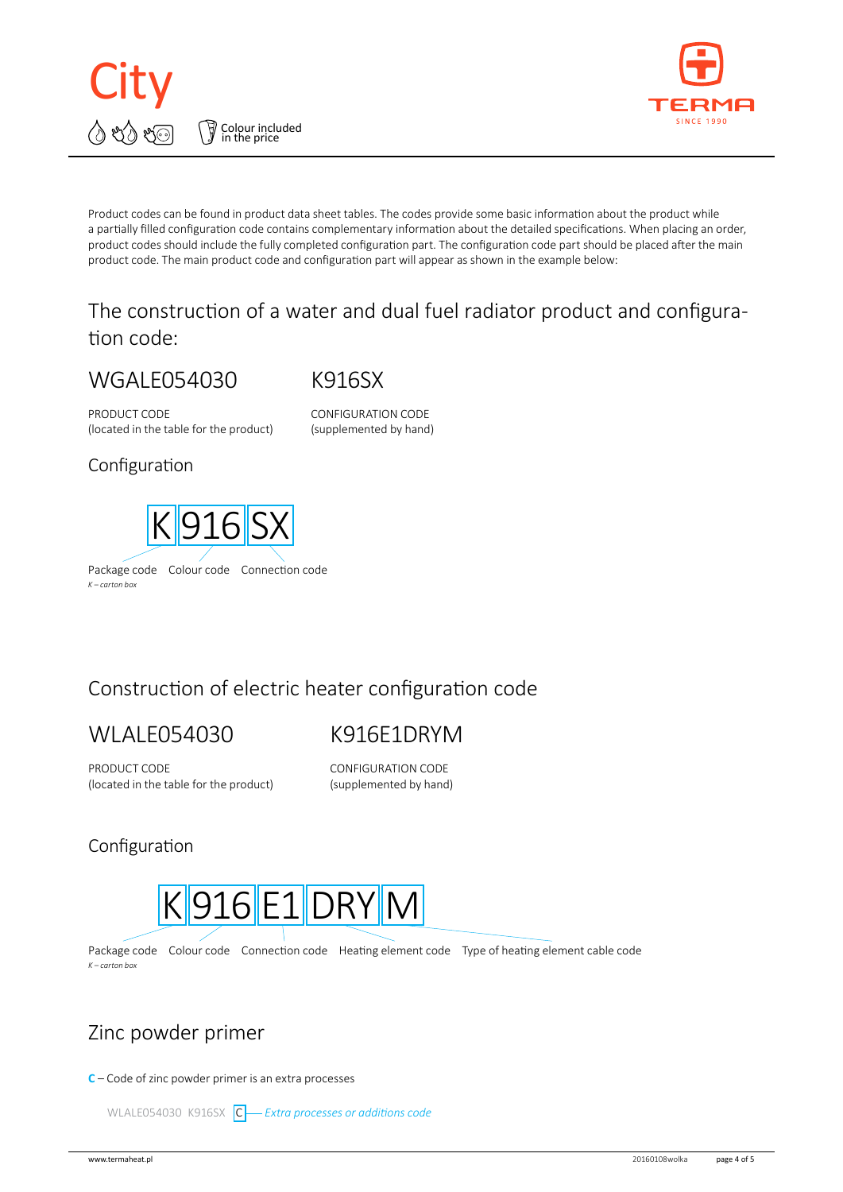



Product codes can be found in product data sheet tables. The codes provide some basic information about the product while a partially filled configuration code contains complementary information about the detailed specifications. When placing an order, product codes should include the fully completed configuration part. The configuration code part should be placed after the main product code. The main product code and configuration part will appear as shown in the example below:

## The construction of a water and dual fuel radiator product and configuration code:

# WGALE054030

K916SX

PRODUCT CODE (located in the table for the product) CONFIGURATION CODE (supplemented by hand)

#### Configuration



# Construction of electric heater configuration code

# WLALE054030

# K916E1DRYM

PRODUCT CODE (located in the table for the product) CONFIGURATION CODE (supplemented by hand)

#### Configuration



Package code Colour code Connection code Heating element code Type of heating element cable code *K – carton box*

### Zinc powder primer

**C** – Code of zinc powder primer is an extra processes

WLALE054030 K916SX C-*Extra processes or additions code*